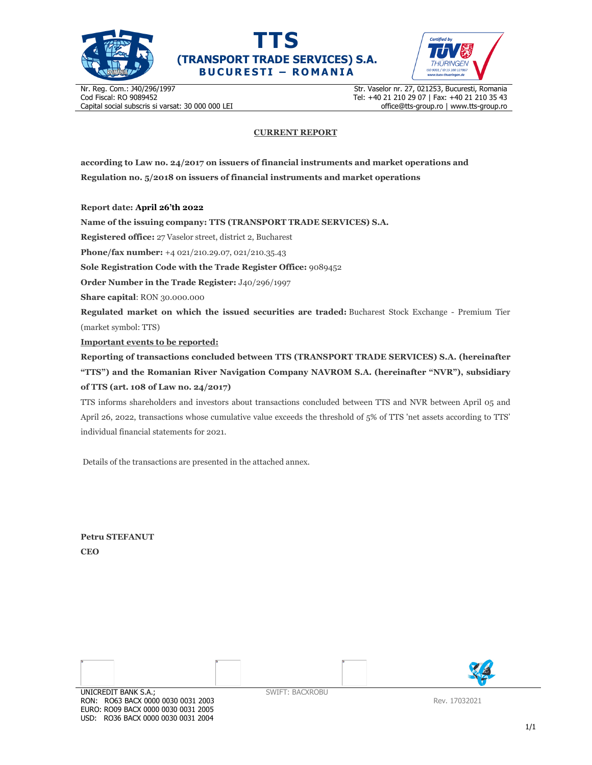





Nr. Reg. Com.: J40/296/1997 Cod Fiscal: RO 9089452 Capital social subscris si varsat: 30 000 000 LEI Str. Vaselor nr. 27, 021253, Bucuresti, Romania Tel: +40 21 210 29 07 | Fax: +40 21 210 35 43 office@tts-group.ro | www.tts-group.ro

## **CURRENT REPORT**

**according to Law no. 24/2017 on issuers of financial instruments and market operations and Regulation no. 5/2018 on issuers of financial instruments and market operations** 

**Report date: April 26'th 2022**

**Name of the issuing company: TTS (TRANSPORT TRADE SERVICES) S.A.**

**Registered office:** 27 Vaselor street, district 2, Bucharest

**Phone/fax number:** +4 021/210.29.07, 021/210.35.43

**Sole Registration Code with the Trade Register Office:** 9089452

**Order Number in the Trade Register:** J40/296/1997

**Share capital**: RON 30.000.000

**Regulated market on which the issued securities are traded:** Bucharest Stock Exchange - Premium Tier (market symbol: TTS)

**Important events to be reported:**

**Reporting of transactions concluded between TTS (TRANSPORT TRADE SERVICES) S.A. (hereinafter "TTS") and the Romanian River Navigation Company NAVROM S.A. (hereinafter "NVR"), subsidiary of TTS (art. 108 of Law no. 24/2017)** 

TTS informs shareholders and investors about transactions concluded between TTS and NVR between April 05 and April 26, 2022, transactions whose cumulative value exceeds the threshold of 5% of TTS 'net assets according to TTS' individual financial statements for 2021.

Details of the transactions are presented in the attached annex.

**Petru STEFANUT CEO** 



RON: RO63 BACX 0000 0030 0031 2003 EURO: RO09 BACX 0000 0030 0031 2005 USD: RO36 BACX 0000 0030 0031 2004

Rev. 17032021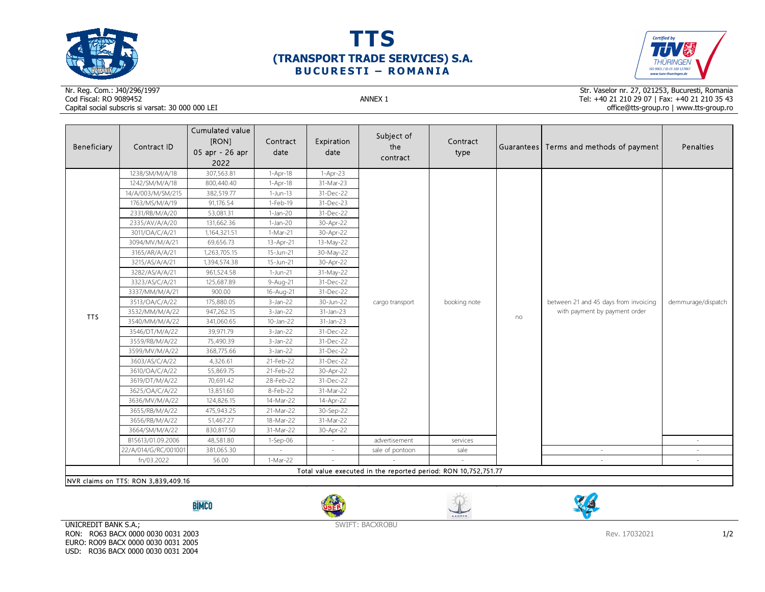

## **TTS (TRANSPORT TRADE SERVICES) S.A. BUCURESTI - ROMANIA**



## Nr. Reg. Com.: J40/296/1997Cod Fiscal: RO 9089452 ANNEX 1 Capital social subscris si varsat: 30 000 000 LEI

Str. Vaselor nr. 27, 021253, Bucuresti, Romania Tel: +40 21 210 29 07 | Fax: +40 21 210 35 43 office@tts-group.ro | www.tts-group.ro

| Beneficiary                                                    | Contract ID          | Cumulated value<br>[RON]<br>05 apr - 26 apr<br>2022 | Contract<br>date | Expiration<br>date | Subject of<br>the<br>contract    | Contract<br>type |    | Guarantees Terms and methods of payment                                | Penalties          |  |
|----------------------------------------------------------------|----------------------|-----------------------------------------------------|------------------|--------------------|----------------------------------|------------------|----|------------------------------------------------------------------------|--------------------|--|
|                                                                | 1238/SM/M/A/18       | 307,563.81                                          | $1-Apr-18$       | $1-Apr-23$         |                                  | booking note     | no | between 21 and 45 days from invoicing<br>with payment by payment order | demmurage/dispatch |  |
|                                                                | 1242/SM/M/A/18       | 800,440.40                                          | 1-Apr-18         | 31-Mar-23          | cargo transport<br>advertisement |                  |    |                                                                        |                    |  |
|                                                                | 14/A/003/M/SM/215    | 382,519.77                                          | $1-Jun-13$       | 31-Dec-22          |                                  |                  |    |                                                                        |                    |  |
|                                                                | 1763/MS/M/A/19       | 91,176.54                                           | 1-Feb-19         | 31-Dec-23          |                                  |                  |    |                                                                        |                    |  |
|                                                                | 2331/RB/M/A/20       | 53,081.31                                           | $1-Jan-20$       | 31-Dec-22          |                                  |                  |    |                                                                        |                    |  |
|                                                                | 2335/AV/A/A/20       | 131,662.36                                          | $1-Jan-20$       | 30-Apr-22          |                                  |                  |    |                                                                        |                    |  |
|                                                                | 3011/OA/C/A/21       | 1,164,321.51                                        | 1-Mar-21         | 30-Apr-22          |                                  |                  |    |                                                                        |                    |  |
|                                                                | 3094/MV/M/A/21       | 69,656.73                                           | 13-Apr-21        | 13-May-22          |                                  |                  |    |                                                                        |                    |  |
| <b>TTS</b>                                                     | 3165/AR/A/A/21       | 1,263,705.15                                        | 15-Jun-21        | 30-May-22          |                                  |                  |    |                                                                        |                    |  |
|                                                                | 3215/AS/A/A/21       | 1,394,574.38                                        | 15-Jun-21        | 30-Apr-22          |                                  |                  |    |                                                                        |                    |  |
|                                                                | 3282/AS/A/A/21       | 961,524.58                                          | 1-Jun-21         | 31-May-22          |                                  |                  |    |                                                                        |                    |  |
|                                                                | 3323/AS/C/A/21       | 125,687.89                                          | 9-Aug-21         | 31-Dec-22          |                                  |                  |    |                                                                        |                    |  |
|                                                                | 3337/MM/M/A/21       | 900.00                                              | 16-Aug-21        | 31-Dec-22          |                                  |                  |    |                                                                        |                    |  |
|                                                                | 3513/OA/C/A/22       | 175,880.05                                          | $3$ -Jan-22      | 30-Jun-22          |                                  |                  |    |                                                                        |                    |  |
|                                                                | 3532/MM/M/A/22       | 947,262.15                                          | $3$ -Jan-22      | 31-Jan-23          |                                  |                  |    |                                                                        |                    |  |
|                                                                | 3540/MM/M/A/22       | 341,060.65                                          | $10$ -Jan-22     | $31$ -Jan-23       |                                  |                  |    |                                                                        |                    |  |
|                                                                | 3546/DT/M/A/22       | 39,971.79                                           | $3-Jan-22$       | 31-Dec-22          |                                  |                  |    |                                                                        |                    |  |
|                                                                | 3559/RB/M/A/22       | 75,490.39                                           | $3$ -Jan-22      | 31-Dec-22          |                                  |                  |    |                                                                        |                    |  |
|                                                                | 3599/MV/M/A/22       | 368,775.66                                          | $3$ -Jan-22      | 31-Dec-22          |                                  |                  |    |                                                                        |                    |  |
|                                                                | 3603/AS/C/A/22       | 4,326.61                                            | 21-Feb-22        | 31-Dec-22          |                                  |                  |    |                                                                        |                    |  |
|                                                                | 3610/OA/C/A/22       | 55,869.75                                           | 21-Feb-22        | 30-Apr-22          |                                  |                  |    |                                                                        |                    |  |
|                                                                | 3619/DT/M/A/22       | 70,691.42                                           | 28-Feb-22        | 31-Dec-22          |                                  |                  |    |                                                                        |                    |  |
|                                                                | 3625/OA/C/A/22       | 13,851.60                                           | 8-Feb-22         | 31-Mar-22          |                                  |                  |    |                                                                        |                    |  |
|                                                                | 3636/MV/M/A/22       | 124,826.15                                          | 14-Mar-22        | 14-Apr-22          |                                  |                  |    |                                                                        |                    |  |
|                                                                | 3655/RB/M/A/22       | 475,943.25                                          | 21-Mar-22        | 30-Sep-22          |                                  |                  |    |                                                                        |                    |  |
|                                                                | 3656/RB/M/A/22       | 51,467.27                                           | 18-Mar-22        | 31-Mar-22          |                                  |                  |    |                                                                        |                    |  |
|                                                                | 3664/SM/M/A/22       | 830,817.50                                          | 31-Mar-22        | 30-Apr-22          |                                  |                  |    |                                                                        |                    |  |
|                                                                | B15613/01.09.2006    | 48,581.80                                           | 1-Sep-06         |                    |                                  | services         |    |                                                                        |                    |  |
|                                                                | 22/A/014/G/RC/001001 | 381,065.30                                          |                  |                    | sale of pontoon                  | sale             |    |                                                                        |                    |  |
|                                                                | fn/03.2022           | 56.00                                               | 1-Mar-22         |                    |                                  |                  |    |                                                                        |                    |  |
| Total value executed in the reported period: RON 10,752,751.77 |                      |                                                     |                  |                    |                                  |                  |    |                                                                        |                    |  |
| NVR claims on TTS: RON 3,839,409.16                            |                      |                                                     |                  |                    |                                  |                  |    |                                                                        |                    |  |

**BİMCO** 







UNICREDIT BANK S.A.; RON: RO63 BACX 0000 0030 0031 2003 EURO: RO09 BACX 0000 0030 0031 2005 USD: RO36 BACX 0000 0030 0031 2004

SWIFT: BACXROBU